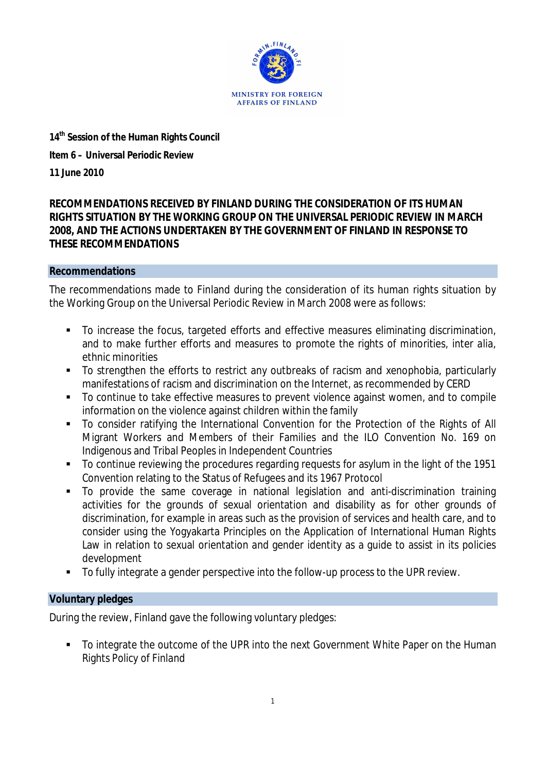

**14th Session of the Human Rights Council Item 6 – Universal Periodic Review 11 June 2010**

**RECOMMENDATIONS RECEIVED BY FINLAND DURING THE CONSIDERATION OF ITS HUMAN RIGHTS SITUATION BY THE WORKING GROUP ON THE UNIVERSAL PERIODIC REVIEW IN MARCH 2008, AND THE ACTIONS UNDERTAKEN BY THE GOVERNMENT OF FINLAND IN RESPONSE TO THESE RECOMMENDATIONS**

# **Recommendations**

The recommendations made to Finland during the consideration of its human rights situation by the Working Group on the Universal Periodic Review in March 2008 were as follows:

- To increase the focus, targeted efforts and effective measures eliminating discrimination, and to make further efforts and measures to promote the rights of minorities, inter alia, ethnic minorities
- To strengthen the efforts to restrict any outbreaks of racism and xenophobia, particularly manifestations of racism and discrimination on the Internet, as recommended by CERD
- To continue to take effective measures to prevent violence against women, and to compile information on the violence against children within the family
- To consider ratifying the International Convention for the Protection of the Rights of All Migrant Workers and Members of their Families and the ILO Convention No. 169 on Indigenous and Tribal Peoples in Independent Countries
- To continue reviewing the procedures regarding requests for asylum in the light of the 1951 Convention relating to the Status of Refugees and its 1967 Protocol
- To provide the same coverage in national legislation and anti-discrimination training activities for the grounds of sexual orientation and disability as for other grounds of discrimination, for example in areas such as the provision of services and health care, and to consider using the Yogyakarta Principles on the Application of International Human Rights Law in relation to sexual orientation and gender identity as a guide to assist in its policies development
- To fully integrate a gender perspective into the follow-up process to the UPR review.

# **Voluntary pledges**

During the review, Finland gave the following voluntary pledges:

To integrate the outcome of the UPR into the next Government White Paper on the Human Rights Policy of Finland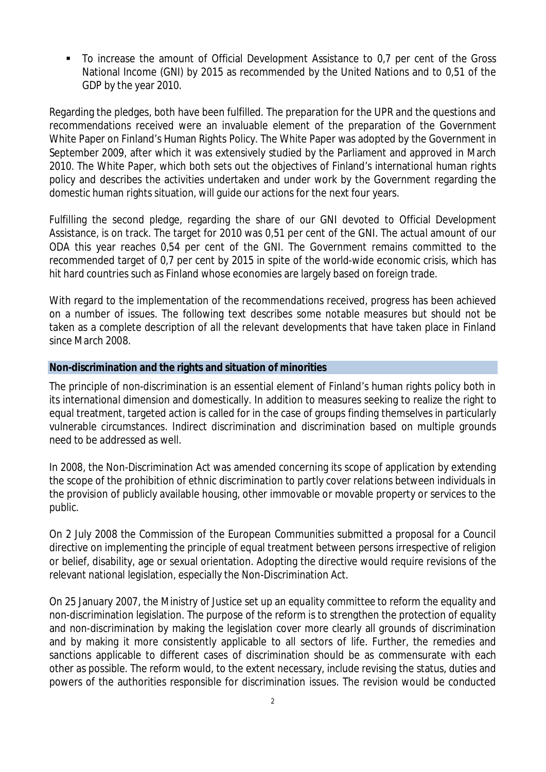To increase the amount of Official Development Assistance to 0,7 per cent of the Gross National Income (GNI) by 2015 as recommended by the United Nations and to 0,51 of the GDP by the year 2010.

Regarding the pledges, both have been fulfilled. The preparation for the UPR and the questions and recommendations received were an invaluable element of the preparation of the Government White Paper on Finland's Human Rights Policy. The White Paper was adopted by the Government in September 2009, after which it was extensively studied by the Parliament and approved in March 2010. The White Paper, which both sets out the objectives of Finland's international human rights policy and describes the activities undertaken and under work by the Government regarding the domestic human rights situation, will guide our actions for the next four years.

Fulfilling the second pledge, regarding the share of our GNI devoted to Official Development Assistance, is on track. The target for 2010 was 0,51 per cent of the GNI. The actual amount of our ODA this year reaches 0,54 per cent of the GNI. The Government remains committed to the recommended target of 0,7 per cent by 2015 in spite of the world-wide economic crisis, which has hit hard countries such as Finland whose economies are largely based on foreign trade.

With regard to the implementation of the recommendations received, progress has been achieved on a number of issues. The following text describes some notable measures but should not be taken as a complete description of all the relevant developments that have taken place in Finland since March 2008.

### **Non-discrimination and the rights and situation of minorities**

The principle of non-discrimination is an essential element of Finland's human rights policy both in its international dimension and domestically. In addition to measures seeking to realize the right to equal treatment, targeted action is called for in the case of groups finding themselves in particularly vulnerable circumstances. Indirect discrimination and discrimination based on multiple grounds need to be addressed as well.

In 2008, the Non-Discrimination Act was amended concerning its scope of application by extending the scope of the prohibition of ethnic discrimination to partly cover relations between individuals in the provision of publicly available housing, other immovable or movable property or services to the public.

On 2 July 2008 the Commission of the European Communities submitted a proposal for a Council directive on implementing the principle of equal treatment between persons irrespective of religion or belief, disability, age or sexual orientation. Adopting the directive would require revisions of the relevant national legislation, especially the Non-Discrimination Act.

On 25 January 2007, the Ministry of Justice set up an *equality committee* to reform the equality and non-discrimination legislation. The purpose of the reform is to strengthen the protection of equality and non-discrimination by making the legislation cover more clearly all grounds of discrimination and by making it more consistently applicable to all sectors of life. Further, the remedies and sanctions applicable to different cases of discrimination should be as commensurate with each other as possible. The reform would, to the extent necessary, include revising the status, duties and powers of the authorities responsible for discrimination issues. The revision would be conducted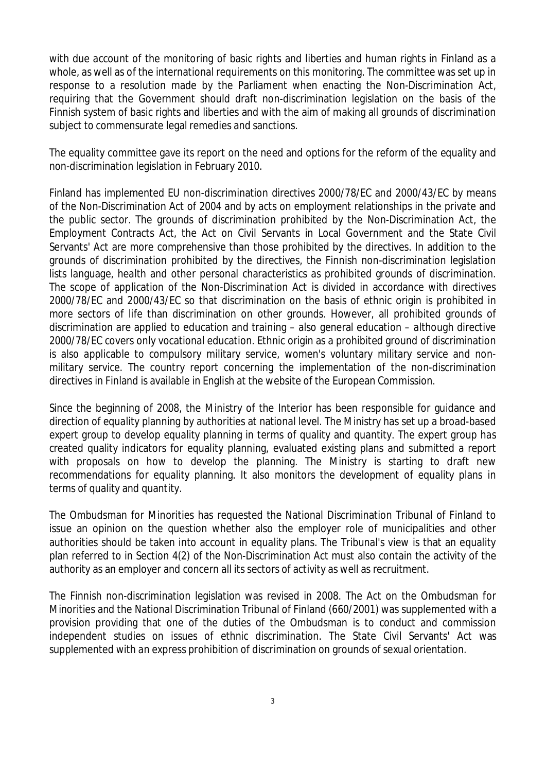with due account of the monitoring of basic rights and liberties and human rights in Finland as a whole, as well as of the international requirements on this monitoring. The committee was set up in response to a resolution made by the Parliament when enacting the Non-Discrimination Act, requiring that the Government should draft non-discrimination legislation on the basis of the Finnish system of basic rights and liberties and with the aim of making all grounds of discrimination subject to commensurate legal remedies and sanctions.

The equality committee gave its report on the need and options for the reform of the equality and non-discrimination legislation in February 2010.

Finland has implemented EU non-discrimination directives 2000/78/EC and 2000/43/EC by means of the Non-Discrimination Act of 2004 and by acts on employment relationships in the private and the public sector. The grounds of discrimination prohibited by the Non-Discrimination Act, the Employment Contracts Act, the Act on Civil Servants in Local Government and the State Civil Servants' Act are more comprehensive than those prohibited by the directives. In addition to the grounds of discrimination prohibited by the directives, the Finnish non-discrimination legislation lists language, health and other personal characteristics as prohibited grounds of discrimination. The scope of application of the Non-Discrimination Act is divided in accordance with directives 2000/78/EC and 2000/43/EC so that discrimination on the basis of ethnic origin is prohibited in more sectors of life than discrimination on other grounds. However, all prohibited grounds of discrimination are applied to education and training – also general education – although directive 2000/78/EC covers only vocational education. Ethnic origin as a prohibited ground of discrimination is also applicable to compulsory military service, women's voluntary military service and nonmilitary service. The country report concerning the implementation of the non-discrimination directives in Finland is available in English at the website of the European Commission.

Since the beginning of 2008, the Ministry of the Interior has been responsible for guidance and direction of equality planning by authorities at national level. The Ministry has set up a broad-based expert group to develop equality planning in terms of quality and quantity. The expert group has created quality indicators for equality planning, evaluated existing plans and submitted a report with proposals on how to develop the planning. The Ministry is starting to draft new recommendations for equality planning. It also monitors the development of equality plans in terms of quality and quantity.

The Ombudsman for Minorities has requested the National Discrimination Tribunal of Finland to issue an opinion on the question whether also the employer role of municipalities and other authorities should be taken into account in equality plans. The Tribunal's view is that an equality plan referred to in Section 4(2) of the Non-Discrimination Act must also contain the activity of the authority as an employer and concern all its sectors of activity as well as recruitment.

The Finnish non-discrimination legislation was revised in 2008. The Act on the Ombudsman for Minorities and the National Discrimination Tribunal of Finland (660/2001) was supplemented with a provision providing that one of the duties of the Ombudsman is to conduct and commission independent *studies on issues of ethnic discrimination*. The State Civil Servants' Act was supplemented with an express prohibition of discrimination on grounds of sexual orientation.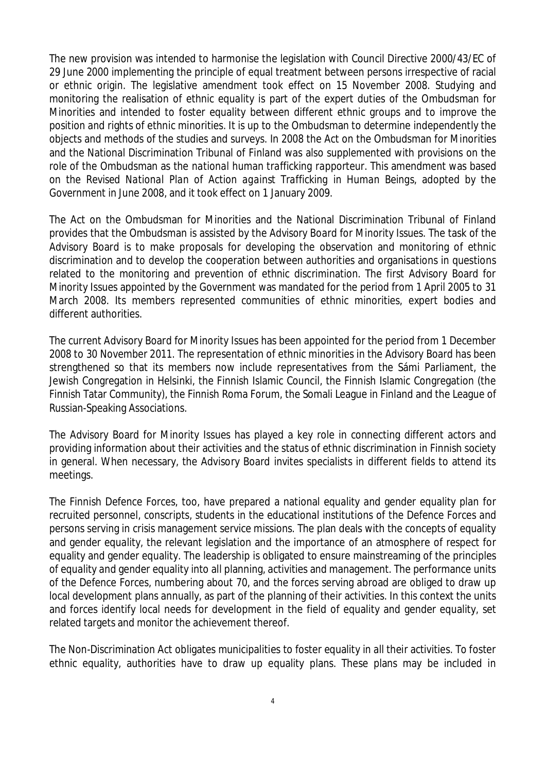The new provision was intended to harmonise the legislation with Council Directive 2000/43/EC of 29 June 2000 implementing the principle of equal treatment between persons irrespective of racial or ethnic origin. The legislative amendment took effect on 15 November 2008. Studying and monitoring the realisation of ethnic equality is part of the expert duties of the Ombudsman for Minorities and intended to foster equality between different ethnic groups and to improve the position and rights of ethnic minorities. It is up to the Ombudsman to determine independently the objects and methods of the studies and surveys. In 2008 the Act on the Ombudsman for Minorities and the National Discrimination Tribunal of Finland was also supplemented with provisions on the role of the Ombudsman as the *national human trafficking rapporteur.* This amendment was based on the *Revised National Plan of Action against Trafficking in Human Beings*, adopted by the Government in June 2008, and it took effect on 1 January 2009.

The Act on the Ombudsman for Minorities and the National Discrimination Tribunal of Finland provides that the Ombudsman is assisted by the *Advisory Board for Minority Issues*. The task of the Advisory Board is to make proposals for developing the observation and monitoring of ethnic discrimination and to develop the cooperation between authorities and organisations in questions related to the monitoring and prevention of ethnic discrimination. The first Advisory Board for Minority Issues appointed by the Government was mandated for the period from 1 April 2005 to 31 March 2008. Its members represented communities of ethnic minorities, expert bodies and different authorities.

The current Advisory Board for Minority Issues has been appointed for the period from 1 December 2008 to 30 November 2011. The representation of ethnic minorities in the Advisory Board has been strengthened so that its members now include representatives from the Sámi Parliament, the Jewish Congregation in Helsinki, the Finnish Islamic Council, the Finnish Islamic Congregation (the Finnish Tatar Community), the Finnish Roma Forum, the Somali League in Finland and the League of Russian-Speaking Associations.

The Advisory Board for Minority Issues has played a key role in connecting different actors and providing information about their activities and the status of ethnic discrimination in Finnish society in general. When necessary, the Advisory Board invites specialists in different fields to attend its meetings.

The Finnish Defence Forces, too, have prepared a national equality and gender equality plan for recruited personnel, conscripts, students in the educational institutions of the Defence Forces and persons serving in crisis management service missions. The plan deals with the concepts of equality and gender equality, the relevant legislation and the importance of an atmosphere of respect for equality and gender equality. The leadership is obligated to ensure mainstreaming of the principles of equality and gender equality into all planning, activities and management. The performance units of the Defence Forces, numbering about 70, and the forces serving abroad are obliged to draw up local development plans annually, as part of the planning of their activities. In this context the units and forces identify local needs for development in the field of equality and gender equality, set related targets and monitor the achievement thereof.

The Non-Discrimination Act obligates municipalities to foster equality in all their activities. To foster ethnic equality, authorities have to draw up equality plans. These plans may be included in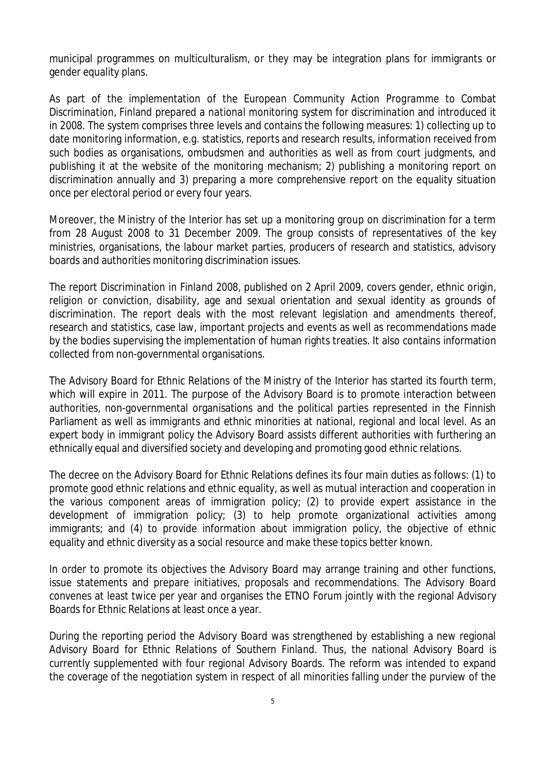municipal programmes on multiculturalism, or they may be integration plans for immigrants or gender equality plans.

As part of the implementation of *the European Community Action Programme to Combat Discrimination*, Finland prepared *a national monitoring system for discrimination* and introduced it in 2008. The system comprises three levels and contains the following measures: 1) collecting up to date monitoring information, e.g. statistics, reports and research results, information received from such bodies as organisations, ombudsmen and authorities as well as from court judgments, and publishing it at the website of the monitoring mechanism; 2) publishing a monitoring report on discrimination annually and 3) preparing a more comprehensive report on the equality situation once per electoral period or every four years.

Moreover, the Ministry of the Interior has set up a monitoring group on discrimination for a term from 28 August 2008 to 31 December 2009. The group consists of representatives of the key ministries, organisations, the labour market parties, producers of research and statistics, advisory boards and authorities monitoring discrimination issues.

The report *Discrimination in Finland 2008,* published on 2 April 2009, covers gender, ethnic origin, religion or conviction, disability, age and sexual orientation and sexual identity as grounds of discrimination. The report deals with the most relevant legislation and amendments thereof, research and statistics, case law, important projects and events as well as recommendations made by the bodies supervising the implementation of human rights treaties. It also contains information collected from non-governmental organisations.

The Advisory Board for Ethnic Relations of the Ministry of the Interior has started its fourth term, which will expire in 2011. The purpose of the Advisory Board is to promote interaction between authorities, non-governmental organisations and the political parties represented in the Finnish Parliament as well as immigrants and ethnic minorities at national, regional and local level. As an expert body in immigrant policy the Advisory Board assists different authorities with furthering an ethnically equal and diversified society and developing and promoting good ethnic relations.

The decree on the Advisory Board for Ethnic Relations defines its four main duties as follows: (1) to promote good ethnic relations and ethnic equality, as well as mutual interaction and cooperation in the various component areas of immigration policy; (2) to provide expert assistance in the development of immigration policy; (3) to help promote organizational activities among immigrants; and (4) to provide information about immigration policy, the objective of ethnic equality and ethnic diversity as a social resource and make these topics better known.

In order to promote its objectives the Advisory Board may arrange training and other functions, issue statements and prepare initiatives, proposals and recommendations. The Advisory Board convenes at least twice per year and organises the *ETNO Forum* jointly with the regional Advisory Boards for Ethnic Relations at least once a year.

During the reporting period the Advisory Board was strengthened by establishing a new regional *Advisory Board for Ethnic Relations of Southern Finland*. Thus, the national Advisory Board is currently supplemented with four regional Advisory Boards. The reform was intended to expand the coverage of the negotiation system in respect of all minorities falling under the purview of the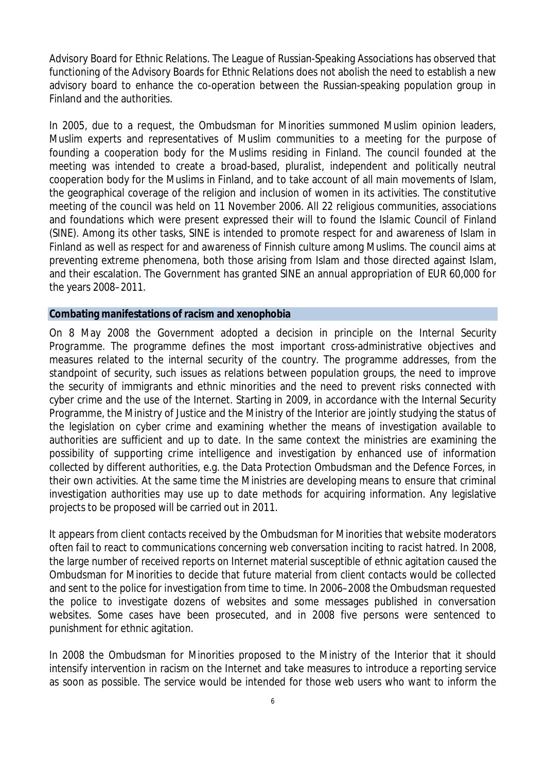Advisory Board for Ethnic Relations. The League of Russian-Speaking Associations has observed that functioning of the Advisory Boards for Ethnic Relations does not abolish the need to establish a new advisory board to enhance the co-operation between the Russian-speaking population group in Finland and the authorities.

In 2005, due to a request, the Ombudsman for Minorities summoned Muslim opinion leaders, Muslim experts and representatives of Muslim communities to a meeting for the purpose of founding a cooperation body for the Muslims residing in Finland. The council founded at the meeting was intended to create a broad-based, pluralist, independent and politically neutral cooperation body for the Muslims in Finland, and to take account of all main movements of Islam, the geographical coverage of the religion and inclusion of women in its activities. The constitutive meeting of the council was held on 11 November 2006. All 22 religious communities, associations and foundations which were present expressed their will to found *the Islamic Council of Finland* (*SINE*). Among its other tasks, SINE is intended to promote respect for and awareness of Islam in Finland as well as respect for and awareness of Finnish culture among Muslims. The council aims at preventing extreme phenomena, both those arising from Islam and those directed against Islam, and their escalation. The Government has granted SINE an annual appropriation of EUR 60,000 for the years 2008*–*2011.

#### **Combating manifestations of racism and xenophobia**

On 8 May 2008 the Government adopted a decision in principle on the *Internal Security Programme*. The programme defines the most important cross-administrative objectives and measures related to the internal security of the country. The programme addresses, from the standpoint of security, such issues as relations between population groups, the need to improve the security of immigrants and ethnic minorities and the need to prevent risks connected with cyber crime and the use of the Internet. Starting in 2009, in accordance with the Internal Security Programme, the Ministry of Justice and the Ministry of the Interior are jointly studying the status of the legislation on cyber crime and examining whether the means of investigation available to authorities are sufficient and up to date. In the same context the ministries are examining the possibility of supporting crime intelligence and investigation by enhanced use of information collected by different authorities, e.g. the Data Protection Ombudsman and the Defence Forces, in their own activities. At the same time the Ministries are developing means to ensure that criminal investigation authorities may use up to date methods for acquiring information. Any legislative projects to be proposed will be carried out in 2011.

It appears from client contacts received by the Ombudsman for Minorities that website moderators often fail to react to *communications concerning web conversation inciting to racist hatred*. In 2008, the large number of received reports on Internet material susceptible of ethnic agitation caused the Ombudsman for Minorities to decide that future material from client contacts would be collected and sent to the police for investigation from time to time. In 2006–2008 the Ombudsman requested the police to investigate dozens of websites and some messages published in conversation websites. Some cases have been prosecuted, and in 2008 five persons were sentenced to punishment for ethnic agitation.

In 2008 the Ombudsman for Minorities proposed to the Ministry of the Interior that it should intensify intervention in racism on the Internet and take measures to introduce a reporting service as soon as possible. The service would be intended for those web users who want to inform the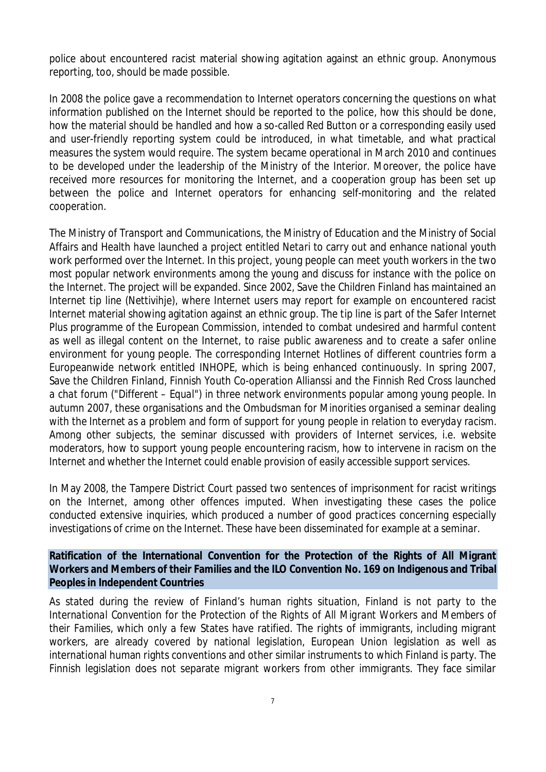police about encountered racist material showing agitation against an ethnic group. Anonymous reporting, too, should be made possible.

In 2008 the police gave *a recommendation to Internet operators* concerning the questions on what information published on the Internet should be reported to the police, how this should be done, how the material should be handled and how a so-called *Red Button* or a corresponding easily used and user-friendly reporting system could be introduced, in what timetable, and what practical measures the system would require. The system became operational in March 2010 and continues to be developed under the leadership of the Ministry of the Interior. Moreover, the police have received more resources for monitoring the Internet, and a cooperation group has been set up between the police and Internet operators for enhancing self-monitoring and the related cooperation.

The Ministry of Transport and Communications, the Ministry of Education and the Ministry of Social Affairs and Health have launched *a project entitled Netari* to carry out and enhance national youth work performed over the Internet. In this project, young people can meet youth workers in the two most popular network environments among the young and discuss for instance with the police on the Internet. The project will be expanded. Since 2002, Save the Children Finland has maintained an Internet tip line (*Nettivihje)*, where Internet users may report for example on encountered racist Internet material showing agitation against an ethnic group. The tip line is part of the *Safer Internet Plus* programme of the European Commission, intended to combat undesired and harmful content as well as illegal content on the Internet, to raise public awareness and to create a safer online environment for young people. The corresponding Internet Hotlines of different countries form a Europeanwide network entitled *INHOPE*, which is being enhanced continuously. In spring 2007, Save the Children Finland, Finnish Youth Co-operation Allianssi and the Finnish Red Cross launched *a chat forum* (*"Different – Equal")* in three network environments popular among young people. In autumn 2007, these organisations and the Ombudsman for Minorities *organised a seminar dealing with the Internet as a problem and form of support for young people in relation to everyday racism*. Among other subjects, the seminar discussed with providers of Internet services, i.e. website moderators, how to support young people encountering racism, how to intervene in racism on the Internet and whether the Internet could enable provision of easily accessible support services.

In May 2008, the Tampere District Court passed two sentences of imprisonment for racist writings on the Internet, among other offences imputed. When investigating these cases the police conducted extensive inquiries, which produced a number of good practices concerning especially investigations of crime on the Internet. These have been disseminated for example at a seminar.

**Ratification of the International Convention for the Protection of the Rights of All Migrant Workers and Members of their Families and the ILO Convention No. 169 on Indigenous and Tribal Peoples in Independent Countries**

As stated during the review of Finland's human rights situation, Finland is not party to the *International Convention for the Protection of the Rights of All Migrant Workers and Members of their Families*, which only a few States have ratified. The rights of immigrants, including migrant workers, are already covered by national legislation, European Union legislation as well as international human rights conventions and other similar instruments to which Finland is party. The Finnish legislation does not separate migrant workers from other immigrants. They face similar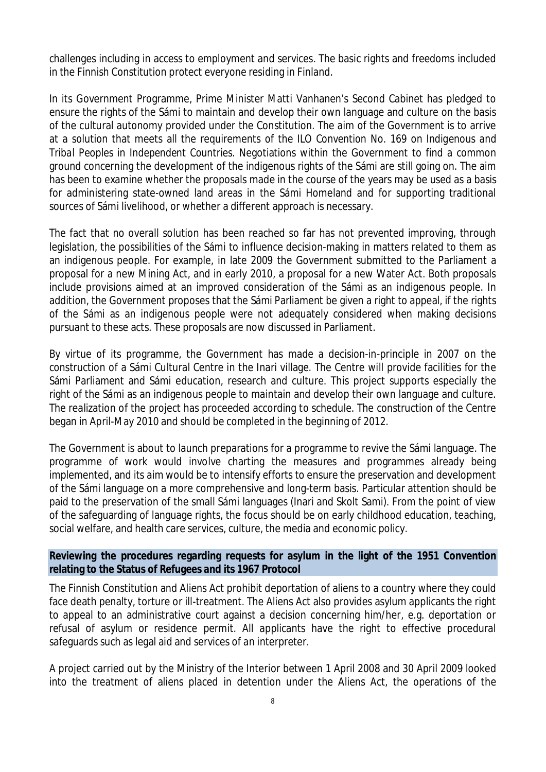challenges including in access to employment and services. The basic rights and freedoms included in the Finnish Constitution protect everyone residing in Finland.

In its Government Programme, Prime Minister Matti Vanhanen's Second Cabinet has pledged to ensure the rights of the Sámi to maintain and develop their own language and culture on the basis of the cultural autonomy provided under the Constitution. The aim of the Government is to arrive at a solution that meets all the requirements of the *ILO Convention No. 169 on Indigenous and Tribal Peoples in Independent Countries*. Negotiations within the Government to find a common ground concerning the development of the indigenous rights of the Sámi are still going on. The aim has been to examine whether the proposals made in the course of the years may be used as a basis for administering state-owned land areas in the Sámi Homeland and for supporting traditional sources of Sámi livelihood, or whether a different approach is necessary.

The fact that no overall solution has been reached so far has not prevented improving, through legislation, the possibilities of the Sámi to influence decision-making in matters related to them as an indigenous people. For example, in late 2009 the Government submitted to the Parliament a proposal for a new Mining Act, and in early 2010, a proposal for a new Water Act. Both proposals include provisions aimed at an improved consideration of the Sámi as an indigenous people. In addition, the Government proposes that the Sámi Parliament be given a right to appeal, if the rights of the Sámi as an indigenous people were not adequately considered when making decisions pursuant to these acts. These proposals are now discussed in Parliament.

By virtue of its programme, the Government has made a decision-in-principle in 2007 on the construction of a Sámi Cultural Centre in the Inari village. The Centre will provide facilities for the Sámi Parliament and Sámi education, research and culture. This project supports especially the right of the Sámi as an indigenous people to maintain and develop their own language and culture. The realization of the project has proceeded according to schedule. The construction of the Centre began in April-May 2010 and should be completed in the beginning of 2012.

The Government is about to launch preparations for a programme to revive the Sámi language. The programme of work would involve charting the measures and programmes already being implemented, and its aim would be to intensify efforts to ensure the preservation and development of the Sámi language on a more comprehensive and long-term basis. Particular attention should be paid to the preservation of the small Sámi languages (Inari and Skolt Sami). From the point of view of the safeguarding of language rights, the focus should be on early childhood education, teaching, social welfare, and health care services, culture, the media and economic policy.

**Reviewing the procedures regarding requests for asylum in the light of the 1951 Convention relating to the Status of Refugees and its 1967 Protocol**

The Finnish Constitution and Aliens Act prohibit deportation of aliens to a country where they could face death penalty, torture or ill-treatment. The Aliens Act also provides asylum applicants the right to appeal to an administrative court against a decision concerning him/her, e.g. deportation or refusal of asylum or residence permit. All applicants have the right to effective procedural safeguards such as legal aid and services of an interpreter.

A project carried out by the Ministry of the Interior between 1 April 2008 and 30 April 2009 looked into the treatment of aliens placed in detention under the Aliens Act, the operations of the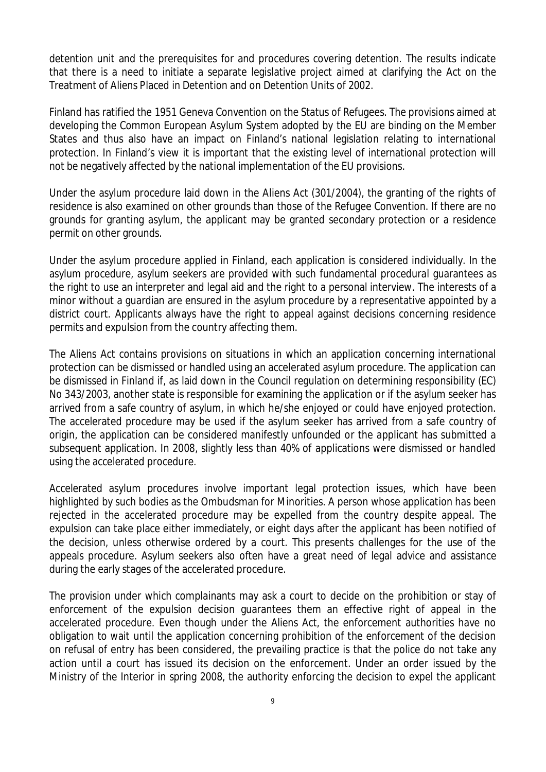detention unit and the prerequisites for and procedures covering detention. The results indicate that there is a need to initiate a separate legislative project aimed at clarifying the Act on the Treatment of Aliens Placed in Detention and on Detention Units of 2002.

Finland has ratified the 1951 Geneva Convention on the Status of Refugees. The provisions aimed at developing the Common European Asylum System adopted by the EU are binding on the Member States and thus also have an impact on Finland's national legislation relating to international protection. In Finland's view it is important that the existing level of international protection will not be negatively affected by the national implementation of the EU provisions.

Under the asylum procedure laid down in the Aliens Act (301/2004), the granting of the rights of residence is also examined on other grounds than those of the Refugee Convention. If there are no grounds for granting asylum, the applicant may be granted secondary protection or a residence permit on other grounds.

Under the asylum procedure applied in Finland, each application is considered individually. In the asylum procedure, asylum seekers are provided with such fundamental procedural guarantees as the right to use an interpreter and legal aid and the right to a personal interview. The interests of a minor without a guardian are ensured in the asylum procedure by a representative appointed by a district court. Applicants always have the right to appeal against decisions concerning residence permits and expulsion from the country affecting them.

The Aliens Act contains provisions on situations in which an application concerning international protection can be dismissed or handled using an accelerated asylum procedure. The application can be dismissed in Finland if, as laid down in the Council regulation on determining responsibility (EC) No 343/2003, another state is responsible for examining the application or if the asylum seeker has arrived from a safe country of asylum, in which he/she enjoyed or could have enjoyed protection. The accelerated procedure may be used if the asylum seeker has arrived from a safe country of origin, the application can be considered manifestly unfounded or the applicant has submitted a subsequent application. In 2008, slightly less than 40% of applications were dismissed or handled using the accelerated procedure.

Accelerated asylum procedures involve important legal protection issues, which have been highlighted by such bodies as the Ombudsman for Minorities. A person whose application has been rejected in the accelerated procedure may be expelled from the country despite appeal. The expulsion can take place either immediately, or eight days after the applicant has been notified of the decision, unless otherwise ordered by a court. This presents challenges for the use of the appeals procedure. Asylum seekers also often have a great need of legal advice and assistance during the early stages of the accelerated procedure.

The provision under which complainants may ask a court to decide on the prohibition or stay of enforcement of the expulsion decision guarantees them an effective right of appeal in the accelerated procedure. Even though under the Aliens Act, the enforcement authorities have no obligation to wait until the application concerning prohibition of the enforcement of the decision on refusal of entry has been considered, the prevailing practice is that the police do not take any action until a court has issued its decision on the enforcement. Under an order issued by the Ministry of the Interior in spring 2008, the authority enforcing the decision to expel the applicant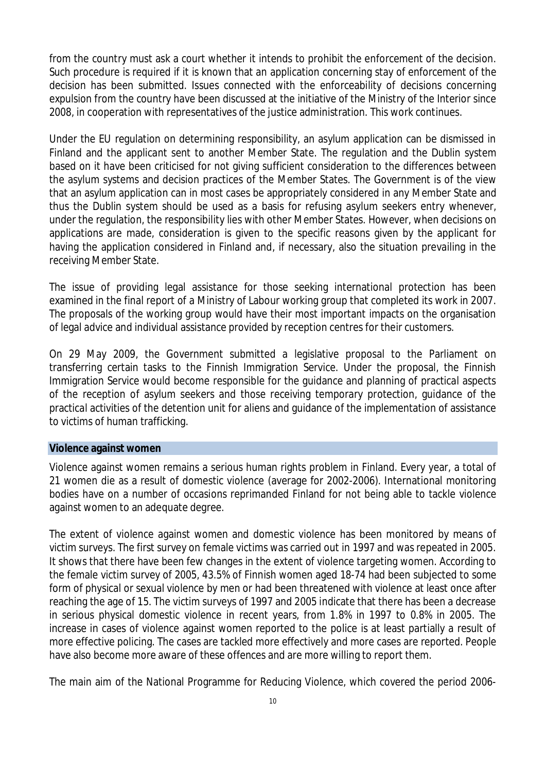from the country must ask a court whether it intends to prohibit the enforcement of the decision. Such procedure is required if it is known that an application concerning stay of enforcement of the decision has been submitted. Issues connected with the enforceability of decisions concerning expulsion from the country have been discussed at the initiative of the Ministry of the Interior since 2008, in cooperation with representatives of the justice administration. This work continues.

Under the EU regulation on determining responsibility, an asylum application can be dismissed in Finland and the applicant sent to another Member State. The regulation and the Dublin system based on it have been criticised for not giving sufficient consideration to the differences between the asylum systems and decision practices of the Member States. The Government is of the view that an asylum application can in most cases be appropriately considered in any Member State and thus the Dublin system should be used as a basis for refusing asylum seekers entry whenever, under the regulation, the responsibility lies with other Member States. However, when decisions on applications are made, consideration is given to the specific reasons given by the applicant for having the application considered in Finland and, if necessary, also the situation prevailing in the receiving Member State.

The issue of providing legal assistance for those seeking international protection has been examined in the final report of a Ministry of Labour working group that completed its work in 2007. The proposals of the working group would have their most important impacts on the organisation of legal advice and individual assistance provided by reception centres for their customers.

On 29 May 2009, the Government submitted a legislative proposal to the Parliament on transferring certain tasks to the Finnish Immigration Service. Under the proposal, the Finnish Immigration Service would become responsible for the guidance and planning of practical aspects of the reception of asylum seekers and those receiving temporary protection, guidance of the practical activities of the detention unit for aliens and guidance of the implementation of assistance to victims of human trafficking.

### **Violence against women**

Violence against women remains a serious human rights problem in Finland. Every year, a total of 21 women die as a result of domestic violence (average for 2002-2006). International monitoring bodies have on a number of occasions reprimanded Finland for not being able to tackle violence against women to an adequate degree.

The extent of violence against women and domestic violence has been monitored by means of victim surveys. The first survey on female victims was carried out in 1997 and was repeated in 2005. It shows that there have been few changes in the extent of violence targeting women. According to the female victim survey of 2005, 43.5% of Finnish women aged 18-74 had been subjected to some form of physical or sexual violence by men or had been threatened with violence at least once after reaching the age of 15. The victim surveys of 1997 and 2005 indicate that there has been a decrease in serious physical domestic violence in recent years, from 1.8% in 1997 to 0.8% in 2005. The increase in cases of violence against women reported to the police is at least partially a result of more effective policing. The cases are tackled more effectively and more cases are reported. People have also become more aware of these offences and are more willing to report them.

The main aim of the National Programme for Reducing Violence, which covered the period 2006-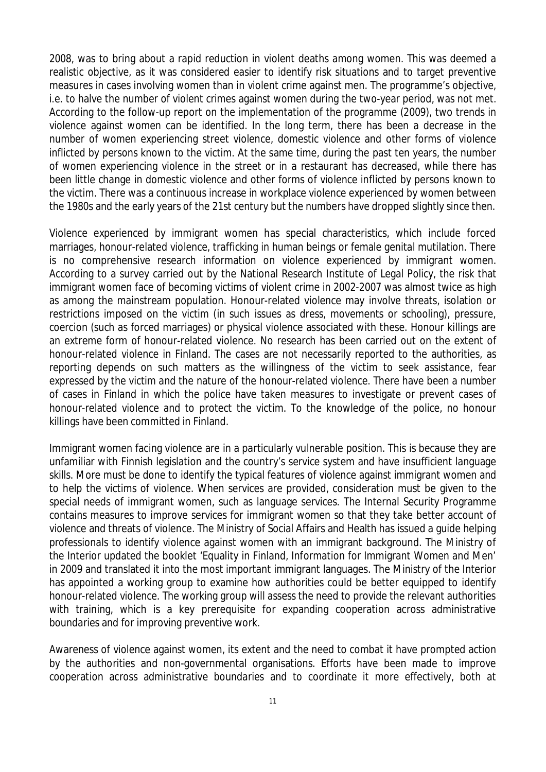2008, was to bring about a rapid reduction in violent deaths among women. This was deemed a realistic objective, as it was considered easier to identify risk situations and to target preventive measures in cases involving women than in violent crime against men. The programme's objective, i.e. to halve the number of violent crimes against women during the two-year period, was not met. According to the follow-up report on the implementation of the programme (2009), two trends in violence against women can be identified. In the long term, there has been a decrease in the number of women experiencing street violence, domestic violence and other forms of violence inflicted by persons known to the victim. At the same time, during the past ten years, the number of women experiencing violence in the street or in a restaurant has decreased, while there has been little change in domestic violence and other forms of violence inflicted by persons known to the victim. There was a continuous increase in workplace violence experienced by women between the 1980s and the early years of the 21st century but the numbers have dropped slightly since then.

Violence experienced by immigrant women has special characteristics, which include forced marriages, honour-related violence, trafficking in human beings or female genital mutilation. There is no comprehensive research information on violence experienced by immigrant women. According to a survey carried out by the National Research Institute of Legal Policy, the risk that immigrant women face of becoming victims of violent crime in 2002-2007 was almost twice as high as among the mainstream population. Honour-related violence may involve threats, isolation or restrictions imposed on the victim (in such issues as dress, movements or schooling), pressure, coercion (such as forced marriages) or physical violence associated with these. Honour killings are an extreme form of honour-related violence. No research has been carried out on the extent of honour-related violence in Finland. The cases are not necessarily reported to the authorities, as reporting depends on such matters as the willingness of the victim to seek assistance, fear expressed by the victim and the nature of the honour-related violence. There have been a number of cases in Finland in which the police have taken measures to investigate or prevent cases of honour-related violence and to protect the victim. To the knowledge of the police, no honour killings have been committed in Finland.

Immigrant women facing violence are in a particularly vulnerable position. This is because they are unfamiliar with Finnish legislation and the country's service system and have insufficient language skills. More must be done to identify the typical features of violence against immigrant women and to help the victims of violence. When services are provided, consideration must be given to the special needs of immigrant women, such as language services. The Internal Security Programme contains measures to improve services for immigrant women so that they take better account of violence and threats of violence. The Ministry of Social Affairs and Health has issued a guide helping professionals to identify violence against women with an immigrant background. The Ministry of the Interior updated the booklet 'Equality in Finland, Information for Immigrant Women and Men' in 2009 and translated it into the most important immigrant languages. The Ministry of the Interior has appointed a working group to examine how authorities could be better equipped to identify honour-related violence. The working group will assess the need to provide the relevant authorities with training, which is a key prerequisite for expanding cooperation across administrative boundaries and for improving preventive work.

Awareness of violence against women, its extent and the need to combat it have prompted action by the authorities and non-governmental organisations. Efforts have been made to improve cooperation across administrative boundaries and to coordinate it more effectively, both at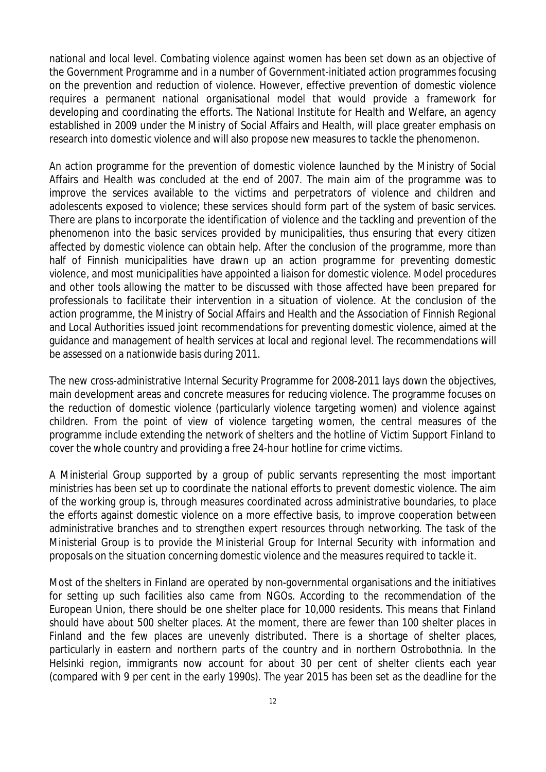national and local level. Combating violence against women has been set down as an objective of the Government Programme and in a number of Government-initiated action programmes focusing on the prevention and reduction of violence. However, effective prevention of domestic violence requires a permanent national organisational model that would provide a framework for developing and coordinating the efforts. The National Institute for Health and Welfare, an agency established in 2009 under the Ministry of Social Affairs and Health, will place greater emphasis on research into domestic violence and will also propose new measures to tackle the phenomenon.

An action programme for the prevention of domestic violence launched by the Ministry of Social Affairs and Health was concluded at the end of 2007. The main aim of the programme was to improve the services available to the victims and perpetrators of violence and children and adolescents exposed to violence; these services should form part of the system of basic services. There are plans to incorporate the identification of violence and the tackling and prevention of the phenomenon into the basic services provided by municipalities, thus ensuring that every citizen affected by domestic violence can obtain help. After the conclusion of the programme, more than half of Finnish municipalities have drawn up an action programme for preventing domestic violence, and most municipalities have appointed a liaison for domestic violence. Model procedures and other tools allowing the matter to be discussed with those affected have been prepared for professionals to facilitate their intervention in a situation of violence. At the conclusion of the action programme, the Ministry of Social Affairs and Health and the Association of Finnish Regional and Local Authorities issued joint recommendations for preventing domestic violence, aimed at the guidance and management of health services at local and regional level. The recommendations will be assessed on a nationwide basis during 2011.

The new cross-administrative Internal Security Programme for 2008-2011 lays down the objectives, main development areas and concrete measures for reducing violence. The programme focuses on the reduction of domestic violence (particularly violence targeting women) and violence against children. From the point of view of violence targeting women, the central measures of the programme include extending the network of shelters and the hotline of Victim Support Finland to cover the whole country and providing a free 24-hour hotline for crime victims.

A Ministerial Group supported by a group of public servants representing the most important ministries has been set up to coordinate the national efforts to prevent domestic violence. The aim of the working group is, through measures coordinated across administrative boundaries, to place the efforts against domestic violence on a more effective basis, to improve cooperation between administrative branches and to strengthen expert resources through networking. The task of the Ministerial Group is to provide the Ministerial Group for Internal Security with information and proposals on the situation concerning domestic violence and the measures required to tackle it.

Most of the shelters in Finland are operated by non-governmental organisations and the initiatives for setting up such facilities also came from NGOs. According to the recommendation of the European Union, there should be one shelter place for 10,000 residents. This means that Finland should have about 500 shelter places. At the moment, there are fewer than 100 shelter places in Finland and the few places are unevenly distributed. There is a shortage of shelter places, particularly in eastern and northern parts of the country and in northern Ostrobothnia. In the Helsinki region, immigrants now account for about 30 per cent of shelter clients each year (compared with 9 per cent in the early 1990s). The year 2015 has been set as the deadline for the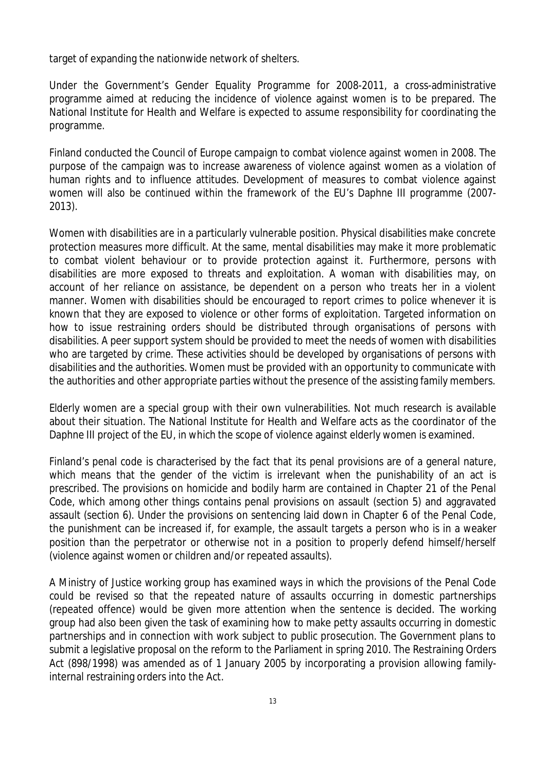target of expanding the nationwide network of shelters.

Under the Government's Gender Equality Programme for 2008-2011, a cross-administrative programme aimed at reducing the incidence of violence against women is to be prepared. The National Institute for Health and Welfare is expected to assume responsibility for coordinating the programme.

Finland conducted the Council of Europe campaign to combat violence against women in 2008. The purpose of the campaign was to increase awareness of violence against women as a violation of human rights and to influence attitudes. Development of measures to combat violence against women will also be continued within the framework of the EU's Daphne III programme (2007- 2013).

Women with disabilities are in a particularly vulnerable position. Physical disabilities make concrete protection measures more difficult. At the same, mental disabilities may make it more problematic to combat violent behaviour or to provide protection against it. Furthermore, persons with disabilities are more exposed to threats and exploitation. A woman with disabilities may, on account of her reliance on assistance, be dependent on a person who treats her in a violent manner. Women with disabilities should be encouraged to report crimes to police whenever it is known that they are exposed to violence or other forms of exploitation. Targeted information on how to issue restraining orders should be distributed through organisations of persons with disabilities. A peer support system should be provided to meet the needs of women with disabilities who are targeted by crime. These activities should be developed by organisations of persons with disabilities and the authorities. Women must be provided with an opportunity to communicate with the authorities and other appropriate parties without the presence of the assisting family members.

Elderly women are a special group with their own vulnerabilities. Not much research is available about their situation. The National Institute for Health and Welfare acts as the coordinator of the Daphne III project of the EU, in which the scope of violence against elderly women is examined.

Finland's penal code is characterised by the fact that its penal provisions are of a general nature, which means that the gender of the victim is irrelevant when the punishability of an act is prescribed. The provisions on homicide and bodily harm are contained in Chapter 21 of the Penal Code, which among other things contains penal provisions on assault (section 5) and aggravated assault (section 6). Under the provisions on sentencing laid down in Chapter 6 of the Penal Code, the punishment can be increased if, for example, the assault targets a person who is in a weaker position than the perpetrator or otherwise not in a position to properly defend himself/herself (violence against women or children and/or repeated assaults).

A Ministry of Justice working group has examined ways in which the provisions of the Penal Code could be revised so that the repeated nature of assaults occurring in domestic partnerships (repeated offence) would be given more attention when the sentence is decided. The working group had also been given the task of examining how to make petty assaults occurring in domestic partnerships and in connection with work subject to public prosecution. The Government plans to submit a legislative proposal on the reform to the Parliament in spring 2010. The Restraining Orders Act (898/1998) was amended as of 1 January 2005 by incorporating a provision allowing familyinternal restraining orders into the Act.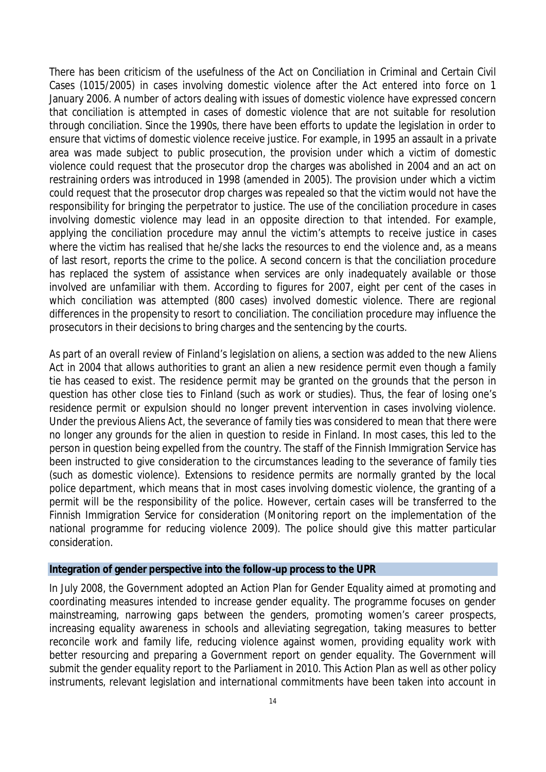There has been criticism of the usefulness of the Act on Conciliation in Criminal and Certain Civil Cases (1015/2005) in cases involving domestic violence after the Act entered into force on 1 January 2006. A number of actors dealing with issues of domestic violence have expressed concern that conciliation is attempted in cases of domestic violence that are not suitable for resolution through conciliation. Since the 1990s, there have been efforts to update the legislation in order to ensure that victims of domestic violence receive justice. For example, in 1995 an assault in a private area was made subject to public prosecution, the provision under which a victim of domestic violence could request that the prosecutor drop the charges was abolished in 2004 and an act on restraining orders was introduced in 1998 (amended in 2005). The provision under which a victim could request that the prosecutor drop charges was repealed so that the victim would not have the responsibility for bringing the perpetrator to justice. The use of the conciliation procedure in cases involving domestic violence may lead in an opposite direction to that intended. For example, applying the conciliation procedure may annul the victim's attempts to receive justice in cases where the victim has realised that he/she lacks the resources to end the violence and, as a means of last resort, reports the crime to the police. A second concern is that the conciliation procedure has replaced the system of assistance when services are only inadequately available or those involved are unfamiliar with them. According to figures for 2007, eight per cent of the cases in which conciliation was attempted (800 cases) involved domestic violence. There are regional differences in the propensity to resort to conciliation. The conciliation procedure may influence the prosecutors in their decisions to bring charges and the sentencing by the courts.

As part of an overall review of Finland's legislation on aliens, a section was added to the new Aliens Act in 2004 that allows authorities to grant an alien a new residence permit even though a family tie has ceased to exist. The residence permit may be granted on the grounds that the person in question has other close ties to Finland (such as work or studies). Thus, the fear of losing one's residence permit or expulsion should no longer prevent intervention in cases involving violence. Under the previous Aliens Act, the severance of family ties was considered to mean that there were no longer any grounds for the alien in question to reside in Finland. In most cases, this led to the person in question being expelled from the country. The staff of the Finnish Immigration Service has been instructed to give consideration to the circumstances leading to the severance of family ties (such as domestic violence). Extensions to residence permits are normally granted by the local police department, which means that in most cases involving domestic violence, the granting of a permit will be the responsibility of the police. However, certain cases will be transferred to the Finnish Immigration Service for consideration (Monitoring report on the implementation of the national programme for reducing violence 2009). The police should give this matter particular consideration.

## **Integration of gender perspective into the follow-up process to the UPR**

In July 2008, the Government adopted an Action Plan for Gender Equality aimed at promoting and coordinating measures intended to increase gender equality. The programme focuses on gender mainstreaming, narrowing gaps between the genders, promoting women's career prospects, increasing equality awareness in schools and alleviating segregation, taking measures to better reconcile work and family life, reducing violence against women, providing equality work with better resourcing and preparing a Government report on gender equality. The Government will submit the gender equality report to the Parliament in 2010. This Action Plan as well as other policy instruments, relevant legislation and international commitments have been taken into account in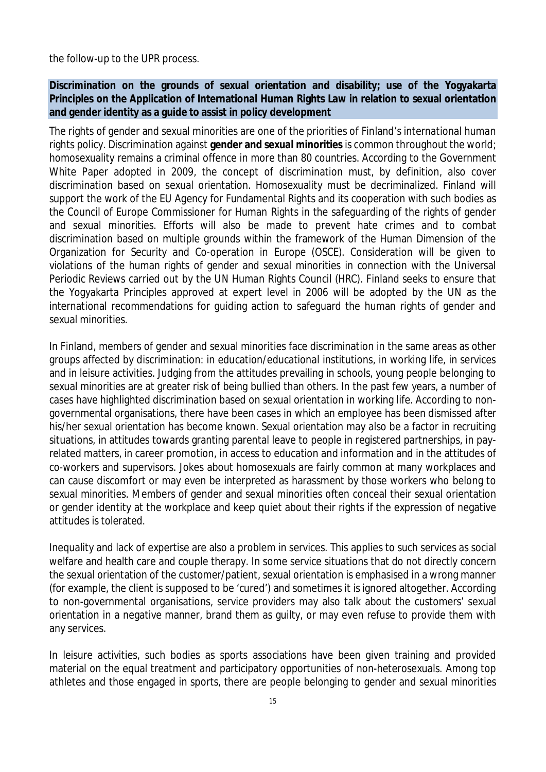the follow-up to the UPR process.

**Discrimination on the grounds of sexual orientation and disability; use of the Yogyakarta Principles on the Application of International Human Rights Law in relation to sexual orientation and gender identity as a guide to assist in policy development**

The rights of gender and sexual minorities are one of the priorities of Finland's international human rights policy. Discrimination against **gender and sexual minorities** is common throughout the world; homosexuality remains a criminal offence in more than 80 countries. According to the Government White Paper adopted in 2009, the concept of discrimination must, by definition, also cover discrimination based on sexual orientation. Homosexuality must be decriminalized. Finland will support the work of the EU Agency for Fundamental Rights and its cooperation with such bodies as the Council of Europe Commissioner for Human Rights in the safeguarding of the rights of gender and sexual minorities. Efforts will also be made to prevent hate crimes and to combat discrimination based on multiple grounds within the framework of the Human Dimension of the Organization for Security and Co-operation in Europe (OSCE). Consideration will be given to violations of the human rights of gender and sexual minorities in connection with the Universal Periodic Reviews carried out by the UN Human Rights Council (HRC). Finland seeks to ensure that the Yogyakarta Principles approved at expert level in 2006 will be adopted by the UN as the international recommendations for guiding action to safeguard the human rights of gender and sexual minorities.

In Finland, members of gender and sexual minorities face discrimination in the same areas as other groups affected by discrimination: in education/educational institutions, in working life, in services and in leisure activities. Judging from the attitudes prevailing in schools, young people belonging to sexual minorities are at greater risk of being bullied than others. In the past few years, a number of cases have highlighted discrimination based on sexual orientation in working life. According to nongovernmental organisations, there have been cases in which an employee has been dismissed after his/her sexual orientation has become known. Sexual orientation may also be a factor in recruiting situations, in attitudes towards granting parental leave to people in registered partnerships, in payrelated matters, in career promotion, in access to education and information and in the attitudes of co-workers and supervisors. Jokes about homosexuals are fairly common at many workplaces and can cause discomfort or may even be interpreted as harassment by those workers who belong to sexual minorities. Members of gender and sexual minorities often conceal their sexual orientation or gender identity at the workplace and keep quiet about their rights if the expression of negative attitudes is tolerated.

Inequality and lack of expertise are also a problem in services. This applies to such services as social welfare and health care and couple therapy. In some service situations that do not directly concern the sexual orientation of the customer/patient, sexual orientation is emphasised in a wrong manner (for example, the client is supposed to be 'cured') and sometimes it is ignored altogether. According to non-governmental organisations, service providers may also talk about the customers' sexual orientation in a negative manner, brand them as guilty, or may even refuse to provide them with any services.

In leisure activities, such bodies as sports associations have been given training and provided material on the equal treatment and participatory opportunities of non-heterosexuals. Among top athletes and those engaged in sports, there are people belonging to gender and sexual minorities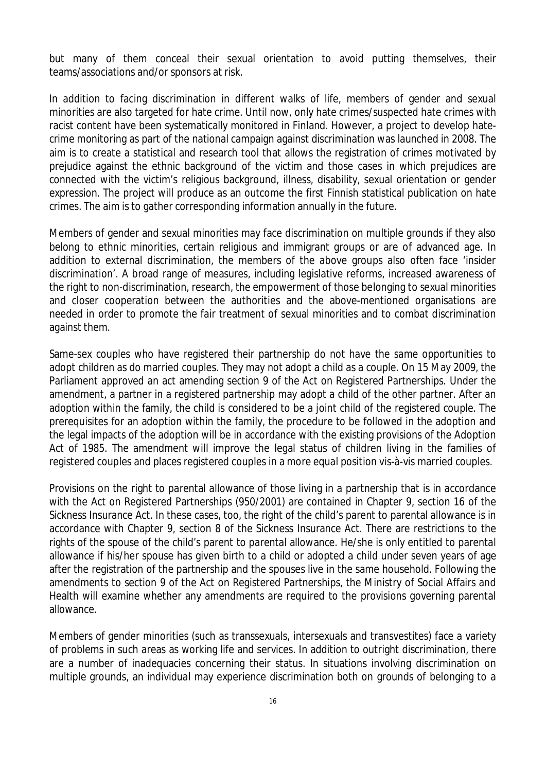but many of them conceal their sexual orientation to avoid putting themselves, their teams/associations and/or sponsors at risk.

In addition to facing discrimination in different walks of life, members of gender and sexual minorities are also targeted for hate crime. Until now, only hate crimes/suspected hate crimes with racist content have been systematically monitored in Finland. However, a project to develop hatecrime monitoring as part of the national campaign against discrimination was launched in 2008. The aim is to create a statistical and research tool that allows the registration of crimes motivated by prejudice against the ethnic background of the victim and those cases in which prejudices are connected with the victim's religious background, illness, disability, sexual orientation or gender expression. The project will produce as an outcome the first Finnish statistical publication on hate crimes. The aim is to gather corresponding information annually in the future.

Members of gender and sexual minorities may face discrimination on multiple grounds if they also belong to ethnic minorities, certain religious and immigrant groups or are of advanced age. In addition to external discrimination, the members of the above groups also often face 'insider discrimination'. A broad range of measures, including legislative reforms, increased awareness of the right to non-discrimination, research, the empowerment of those belonging to sexual minorities and closer cooperation between the authorities and the above-mentioned organisations are needed in order to promote the fair treatment of sexual minorities and to combat discrimination against them.

Same-sex couples who have registered their partnership do not have the same opportunities to adopt children as do married couples. They may not adopt a child as a couple. On 15 May 2009, the Parliament approved an act amending section 9 of the Act on Registered Partnerships. Under the amendment, a partner in a registered partnership may adopt a child of the other partner. After an adoption within the family, the child is considered to be a joint child of the registered couple. The prerequisites for an adoption within the family, the procedure to be followed in the adoption and the legal impacts of the adoption will be in accordance with the existing provisions of the Adoption Act of 1985. The amendment will improve the legal status of children living in the families of registered couples and places registered couples in a more equal position vis-à-vis married couples.

Provisions on the right to parental allowance of those living in a partnership that is in accordance with the Act on Registered Partnerships (950/2001) are contained in Chapter 9, section 16 of the Sickness Insurance Act. In these cases, too, the right of the child's parent to parental allowance is in accordance with Chapter 9, section 8 of the Sickness Insurance Act. There are restrictions to the rights of the spouse of the child's parent to parental allowance. He/she is only entitled to parental allowance if his/her spouse has given birth to a child or adopted a child under seven years of age after the registration of the partnership and the spouses live in the same household. Following the amendments to section 9 of the Act on Registered Partnerships, the Ministry of Social Affairs and Health will examine whether any amendments are required to the provisions governing parental allowance.

Members of gender minorities (such as transsexuals, intersexuals and transvestites) face a variety of problems in such areas as working life and services. In addition to outright discrimination, there are a number of inadequacies concerning their status. In situations involving discrimination on multiple grounds, an individual may experience discrimination both on grounds of belonging to a